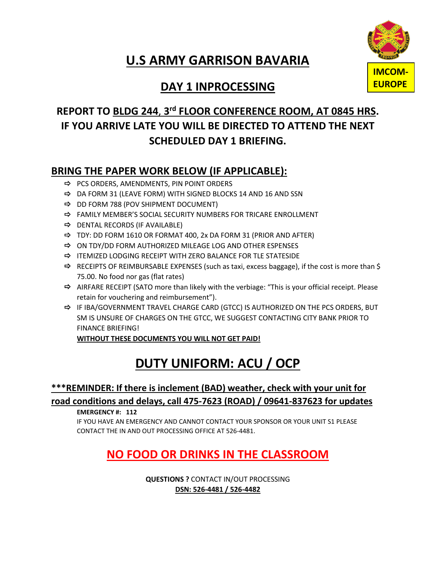## **U.S ARMY GARRISON BAVARIA**



#### **REPORT TO BLDG 244**, **3rd FLOOR CONFERENCE ROOM, AT 0845 HRS. IF YOU ARRIVE LATE YOU WILL BE DIRECTED TO ATTEND THE NEXT SCHEDULED DAY 1 BRIEFING.**

#### **BRING THE PAPER WORK BELOW (IF APPLICABLE):**

- $\Rightarrow$  PCS ORDERS, AMENDMENTS, PIN POINT ORDERS
- $\Rightarrow$  DA FORM 31 (LEAVE FORM) WITH SIGNED BLOCKS 14 AND 16 AND SSN
- $\Rightarrow$  DD FORM 788 (POV SHIPMENT DOCUMENT)
- $\Rightarrow$  FAMILY MEMBER'S SOCIAL SECURITY NUMBERS FOR TRICARE ENROLLMENT
- $\Rightarrow$  DENTAL RECORDS (IF AVAILABLE)
- $\Rightarrow$  TDY: DD FORM 1610 OR FORMAT 400, 2x DA FORM 31 (PRIOR AND AFTER)
- $\Rightarrow$  ON TDY/DD FORM AUTHORIZED MILEAGE LOG AND OTHER ESPENSES
- $\Rightarrow$  ITEMIZED LODGING RECEIPT WITH ZERO BALANCE FOR TLE STATESIDE
- $\Rightarrow$  RECEIPTS OF REIMBURSABLE EXPENSES (such as taxi, excess baggage), if the cost is more than \$ 75.00. No food nor gas (flat rates)
- $\Rightarrow$  AIRFARE RECEIPT (SATO more than likely with the verbiage: "This is your official receipt. Please retain for vouchering and reimbursement").
- $\Rightarrow$  IF IBA/GOVERNMENT TRAVEL CHARGE CARD (GTCC) IS AUTHORIZED ON THE PCS ORDERS, BUT SM IS UNSURE OF CHARGES ON THE GTCC, WE SUGGEST CONTACTING CITY BANK PRIOR TO FINANCE BRIEFING!

**WITHOUT THESE DOCUMENTS YOU WILL NOT GET PAID!**

# **DUTY UNIFORM: ACU / OCP**

#### **\*\*\*REMINDER: If there is inclement (BAD) weather, check with your unit for road conditions and delays, call 475-7623 (ROAD) / 09641-837623 for updates**

**EMERGENCY #: 112**

IF YOU HAVE AN EMERGENCY AND CANNOT CONTACT YOUR SPONSOR OR YOUR UNIT S1 PLEASE CONTACT THE IN AND OUT PROCESSING OFFICE AT 526-4481.

### **NO FOOD OR DRINKS IN THE CLASSROOM**

**QUESTIONS ?** CONTACT IN/OUT PROCESSING **DSN: 526-4481 / 526-4482**